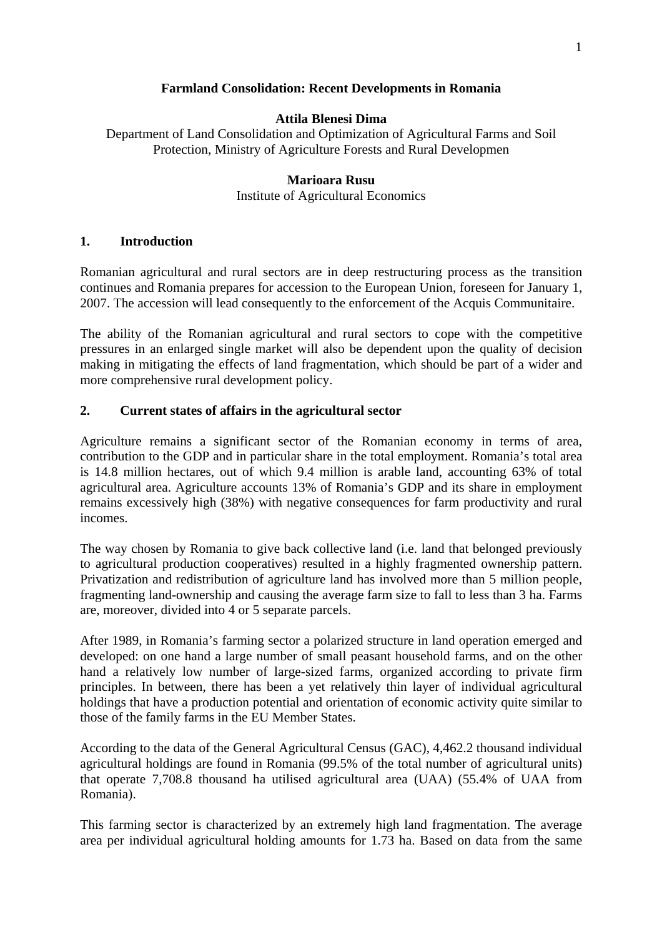# **Farmland Consolidation: Recent Developments in Romania**

### **Attila Blenesi Dima**

Department of Land Consolidation and Optimization of Agricultural Farms and Soil Protection, Ministry of Agriculture Forests and Rural Developmen

# **Marioara Rusu**

Institute of Agricultural Economics

# **1. Introduction**

Romanian agricultural and rural sectors are in deep restructuring process as the transition continues and Romania prepares for accession to the European Union, foreseen for January 1, 2007. The accession will lead consequently to the enforcement of the Acquis Communitaire.

The ability of the Romanian agricultural and rural sectors to cope with the competitive pressures in an enlarged single market will also be dependent upon the quality of decision making in mitigating the effects of land fragmentation, which should be part of a wider and more comprehensive rural development policy.

# **2. Current states of affairs in the agricultural sector**

Agriculture remains a significant sector of the Romanian economy in terms of area, contribution to the GDP and in particular share in the total employment. Romania's total area is 14.8 million hectares, out of which 9.4 million is arable land, accounting 63% of total agricultural area. Agriculture accounts 13% of Romania's GDP and its share in employment remains excessively high (38%) with negative consequences for farm productivity and rural incomes.

The way chosen by Romania to give back collective land (i.e. land that belonged previously to agricultural production cooperatives) resulted in a highly fragmented ownership pattern. Privatization and redistribution of agriculture land has involved more than 5 million people, fragmenting land-ownership and causing the average farm size to fall to less than 3 ha. Farms are, moreover, divided into 4 or 5 separate parcels.

After 1989, in Romania's farming sector a polarized structure in land operation emerged and developed: on one hand a large number of small peasant household farms, and on the other hand a relatively low number of large-sized farms, organized according to private firm principles. In between, there has been a yet relatively thin layer of individual agricultural holdings that have a production potential and orientation of economic activity quite similar to those of the family farms in the EU Member States.

According to the data of the General Agricultural Census (GAC), 4,462.2 thousand individual agricultural holdings are found in Romania (99.5% of the total number of agricultural units) that operate 7,708.8 thousand ha utilised agricultural area (UAA) (55.4% of UAA from Romania).

This farming sector is characterized by an extremely high land fragmentation. The average area per individual agricultural holding amounts for 1.73 ha. Based on data from the same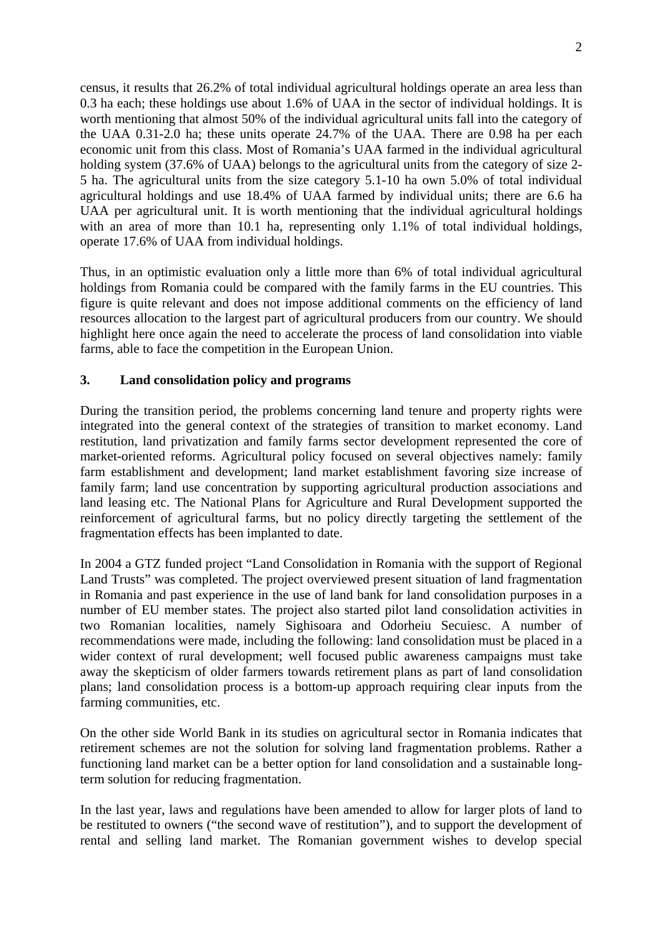census, it results that 26.2% of total individual agricultural holdings operate an area less than 0.3 ha each; these holdings use about 1.6% of UAA in the sector of individual holdings. It is worth mentioning that almost 50% of the individual agricultural units fall into the category of the UAA 0.31-2.0 ha; these units operate 24.7% of the UAA. There are 0.98 ha per each economic unit from this class. Most of Romania's UAA farmed in the individual agricultural holding system (37.6% of UAA) belongs to the agricultural units from the category of size 2-5 ha. The agricultural units from the size category 5.1-10 ha own 5.0% of total individual agricultural holdings and use 18.4% of UAA farmed by individual units; there are 6.6 ha UAA per agricultural unit. It is worth mentioning that the individual agricultural holdings with an area of more than 10.1 ha, representing only 1.1% of total individual holdings, operate 17.6% of UAA from individual holdings.

Thus, in an optimistic evaluation only a little more than 6% of total individual agricultural holdings from Romania could be compared with the family farms in the EU countries. This figure is quite relevant and does not impose additional comments on the efficiency of land resources allocation to the largest part of agricultural producers from our country. We should highlight here once again the need to accelerate the process of land consolidation into viable farms, able to face the competition in the European Union.

#### **3. Land consolidation policy and programs**

During the transition period, the problems concerning land tenure and property rights were integrated into the general context of the strategies of transition to market economy. Land restitution, land privatization and family farms sector development represented the core of market-oriented reforms. Agricultural policy focused on several objectives namely: family farm establishment and development; land market establishment favoring size increase of family farm; land use concentration by supporting agricultural production associations and land leasing etc. The National Plans for Agriculture and Rural Development supported the reinforcement of agricultural farms, but no policy directly targeting the settlement of the fragmentation effects has been implanted to date.

In 2004 a GTZ funded project "Land Consolidation in Romania with the support of Regional Land Trusts" was completed. The project overviewed present situation of land fragmentation in Romania and past experience in the use of land bank for land consolidation purposes in a number of EU member states. The project also started pilot land consolidation activities in two Romanian localities, namely Sighisoara and Odorheiu Secuiesc. A number of recommendations were made, including the following: land consolidation must be placed in a wider context of rural development; well focused public awareness campaigns must take away the skepticism of older farmers towards retirement plans as part of land consolidation plans; land consolidation process is a bottom-up approach requiring clear inputs from the farming communities, etc.

On the other side World Bank in its studies on agricultural sector in Romania indicates that retirement schemes are not the solution for solving land fragmentation problems. Rather a functioning land market can be a better option for land consolidation and a sustainable longterm solution for reducing fragmentation.

In the last year, laws and regulations have been amended to allow for larger plots of land to be restituted to owners ("the second wave of restitution"), and to support the development of rental and selling land market. The Romanian government wishes to develop special